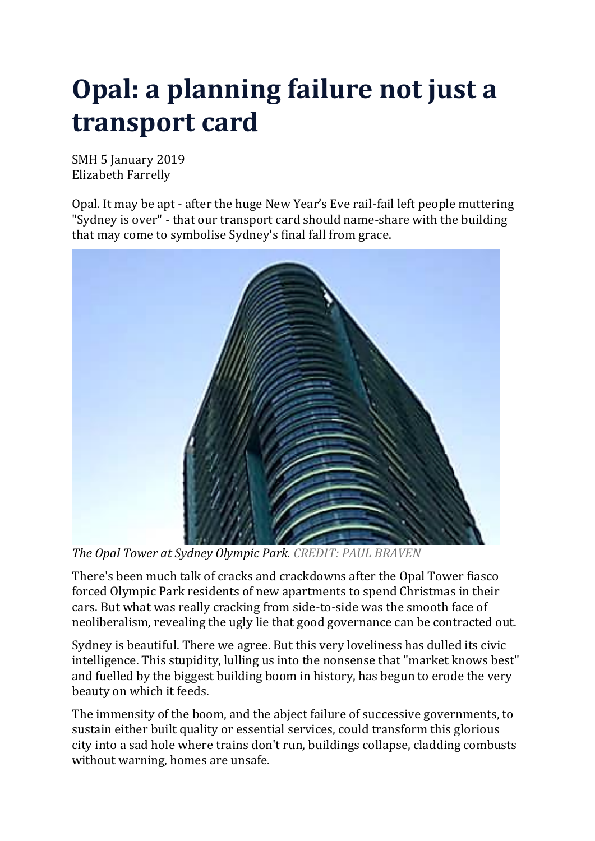## **Opal: a planning failure not just a transport card**

SMH 5 January 2019 Elizabeth Farrelly

Opal. It may be apt - after the huge New Year's Eve rail-fail left people muttering "Sydney is over" - that our transport card should name-share with the building that may come to symbolise Sydney's final fall from grace[.](javascript:void(0);)



*The Opal Tower at Sydney Olympic Park. CREDIT: PAUL BRAVEN*

There's been much talk of cracks and crackdowns after the Opal Tower fiasco forced Olympic Park residents of new apartments to spend Christmas in their cars. But what was really cracking from side-to-side was the smooth face of neoliberalism, revealing the ugly lie that good governance can be contracted out.

Sydney is beautiful. There we agree. But this very loveliness has dulled its civic intelligence. This stupidity, lulling us into the nonsense that "market knows best" and fuelled by the biggest building boom in history, has begun to erode the very beauty on which it feeds.

The immensity of the boom, and the abject failure of successive governments, to sustain either built quality or essential services, could transform this glorious city into a sad hole where trains don't run, buildings collapse, cladding combusts without warning, homes are unsafe.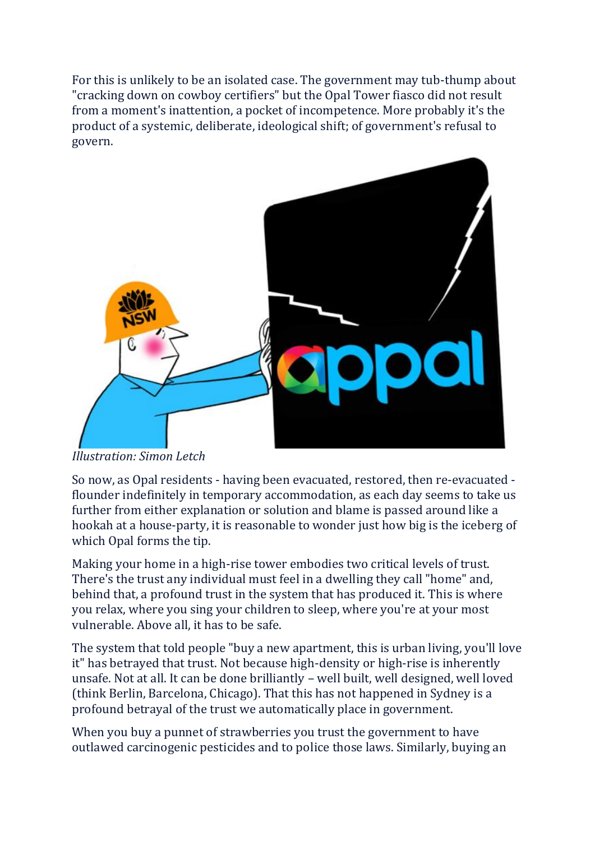For this is unlikely to be an isolated case. The government may tub-thump about "cracking down on cowboy certifiers" but the Opal Tower fiasco did not result from a moment's inattention, a pocket of incompetence. More probably it's the product of a systemic, deliberate, ideological shift; of government's refusal to gover[n.](javascript:void(0);)



*Illustration: Simon Letch*

So now, as Opal residents - having been evacuated, restored, then re-evacuated flounder indefinitely in temporary accommodation, as each day seems to take us further from either explanation or solution and blame is passed around like a hookah at a house-party, it is reasonable to wonder just how big is the iceberg of which Opal forms the tip.

Making your home in a high-rise tower embodies two critical levels of trust. There's the trust any individual must feel in a dwelling they call "home" and, behind that, a profound trust in the system that has produced it. This is where you relax, where you sing your children to sleep, where you're at your most vulnerable. Above all, it has to be safe.

The system that told people "buy a new apartment, this is urban living, you'll love it" has betrayed that trust. Not because high-density or high-rise is inherently unsafe. Not at all. It can be done brilliantly – well built, well designed, well loved (think Berlin, Barcelona, Chicago). That this has not happened in Sydney is a profound betrayal of the trust we automatically place in government.

When you buy a punnet of strawberries you trust the government to have outlawed carcinogenic pesticides and to police those laws. Similarly, buying an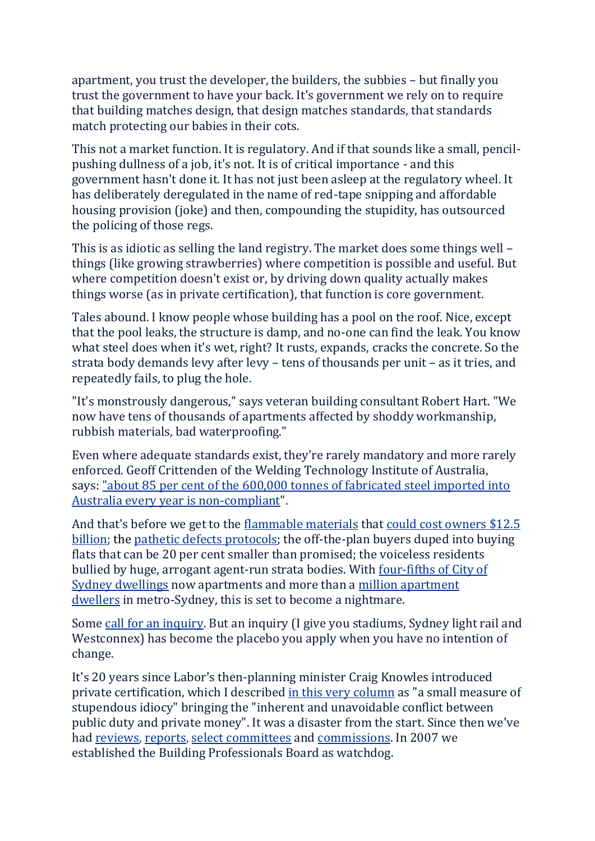apartment, you trust the developer, the builders, the subbies – but finally you trust the government to have your back. It's government we rely on to require that building matches design, that design matches standards, that standards match protecting our babies in their cots.

This not a market function. It is regulatory. And if that sounds like a small, pencilpushing dullness of a job, it's not. It is of critical importance - and this government hasn't done it. It has not just been asleep at the regulatory wheel. It has deliberately deregulated in the name of red-tape snipping and affordable housing provision (joke) and then, compounding the stupidity, has outsourced the policing of those regs.

This is as idiotic as selling the land registry. The market does some things well – things (like growing strawberries) where competition is possible and useful. But where competition doesn't exist or, by driving down quality actually makes things worse (as in private certification), that function is core government.

Tales abound. I know people whose building has a pool on the roof. Nice, except that the pool leaks, the structure is damp, and no-one can find the leak. You know what steel does when it's wet, right? It rusts, expands, cracks the concrete. So the strata body demands levy after levy – tens of thousands per unit – as it tries, and repeatedly fails, to plug the hole.

"It's monstrously dangerous," says veteran building consultant Robert Hart. "We now have tens of thousands of apartments affected by shoddy workmanship, rubbish materials, bad waterproofing."

Even where adequate standards exist, they're rarely mandatory and more rarely enforced. Geoff Crittenden of the Welding Technology Institute of Australia, says: "about 85 per cent of the 600,000 tonnes of [fabricated](https://www.smh.com.au/opinion/why-i-will-never-buy-a-new-apartment-in-sydney-20170209-gu9i4n.html) steel imported into Australia every year is [non-compliant"](https://www.smh.com.au/opinion/why-i-will-never-buy-a-new-apartment-in-sydney-20170209-gu9i4n.html).

And that's before we get to the [flammable](https://urldefense.proofpoint.com/v2/url?u=https-3A__www.domain.com.au_news_owners-2Dof-2Dnsw-2Dapartments-2Dwith-2Dcombustible-2Dcladding-2Dmay-2Dneed-2Dsecond-2Dmortgage-2Dfor-2Drepairs-2D20180912-2Dh159ml-2D763253_&d=DwMFaQ&c=N9aEhCy8U0rJkO1xCZf7rgM9fohfR5qe_N93viZd7O8&r=Rk0dPxkWPE4peroBIoA9xA&m=2iwf6QIWs_FB0BQbM7cJkOP-yU-8E2OPZ7aTR5tntJE&s=HjniSf4GuC6VCyXs11kYwDTsmtybvBHIju9wQVAnoyI&e=) materials that could cost [owners](https://urldefense.proofpoint.com/v2/url?u=https-3A__www.news.com.au_finance_real-2Destate_buying_sydney-2Dapartment-2Downers-2Dface-2D125-2Dmillion-2Dbill-2Dto-2Dremove-2Dflammable-2Dcladding_news-2Dstory_3c870c93a9bc87e17b762bcfd248e46e&d=DwMFaQ&c=N9aEhCy8U0rJkO1xCZf7rgM9fohfR5qe_N93viZd7O8&r=Rk0dPxkWPE4peroBIoA9xA&m=2iwf6QIWs_FB0BQbM7cJkOP-yU-8E2OPZ7aTR5tntJE&s=-nzRuo4e_6f9CjFLy7i0QwOr2jhCM3DFBbQwRIVlcUs&e=) \$12.5 [billion;](https://urldefense.proofpoint.com/v2/url?u=https-3A__www.news.com.au_finance_real-2Destate_buying_sydney-2Dapartment-2Downers-2Dface-2D125-2Dmillion-2Dbill-2Dto-2Dremove-2Dflammable-2Dcladding_news-2Dstory_3c870c93a9bc87e17b762bcfd248e46e&d=DwMFaQ&c=N9aEhCy8U0rJkO1xCZf7rgM9fohfR5qe_N93viZd7O8&r=Rk0dPxkWPE4peroBIoA9xA&m=2iwf6QIWs_FB0BQbM7cJkOP-yU-8E2OPZ7aTR5tntJE&s=-nzRuo4e_6f9CjFLy7i0QwOr2jhCM3DFBbQwRIVlcUs&e=) the pathetic defects [protocols;](https://urldefense.proofpoint.com/v2/url?u=https-3A__www.ocn.org.au_sites_ocn.org.au_files_2SER-2520Governement-2520to-2520Pick-2520Up-2520the-2520Bricks-2520180906.mp3&d=DwMFaQ&c=N9aEhCy8U0rJkO1xCZf7rgM9fohfR5qe_N93viZd7O8&r=Rk0dPxkWPE4peroBIoA9xA&m=2iwf6QIWs_FB0BQbM7cJkOP-yU-8E2OPZ7aTR5tntJE&s=1M4PoCOBWrTE1wugv_SM3R8DvkdrYQTFqmV9Bh71u2Q&e=) the off-the-plan buyers duped into buying flats that can be 20 per cent smaller than promised; the voiceless residents bullied by huge, arrogant agent-run strata bodies. With [four-fifths](https://urldefense.proofpoint.com/v2/url?u=https-3A__www.cityofsydney.nsw.gov.au_live_residents_apartment-2Dliving&d=DwMFaQ&c=N9aEhCy8U0rJkO1xCZf7rgM9fohfR5qe_N93viZd7O8&r=Rk0dPxkWPE4peroBIoA9xA&m=2iwf6QIWs_FB0BQbM7cJkOP-yU-8E2OPZ7aTR5tntJE&s=AKM6Oooyot2zg-N6bnyAXIysRGBlmCOoNJDnYVY4amc&e=) of City of Sydney [dwellings](https://urldefense.proofpoint.com/v2/url?u=https-3A__www.cityofsydney.nsw.gov.au_live_residents_apartment-2Dliving&d=DwMFaQ&c=N9aEhCy8U0rJkO1xCZf7rgM9fohfR5qe_N93viZd7O8&r=Rk0dPxkWPE4peroBIoA9xA&m=2iwf6QIWs_FB0BQbM7cJkOP-yU-8E2OPZ7aTR5tntJE&s=AKM6Oooyot2zg-N6bnyAXIysRGBlmCOoNJDnYVY4amc&e=) now apartments and more than a million [apartment](https://urldefense.proofpoint.com/v2/url?u=http-3A__www.abs.gov.au_ausstats_abs-40.nsf_Lookup_by-2520Subject_2071.0-7E2016-7EMain-2520Features-7EApartment-2520Living-7E20&d=DwMFaQ&c=N9aEhCy8U0rJkO1xCZf7rgM9fohfR5qe_N93viZd7O8&r=Rk0dPxkWPE4peroBIoA9xA&m=2iwf6QIWs_FB0BQbM7cJkOP-yU-8E2OPZ7aTR5tntJE&s=O0gx0tJB7qf_SaVxGEnwOmnfziwdWUtFijjJYo2CcjA&e=) [dwellers](https://urldefense.proofpoint.com/v2/url?u=http-3A__www.abs.gov.au_ausstats_abs-40.nsf_Lookup_by-2520Subject_2071.0-7E2016-7EMain-2520Features-7EApartment-2520Living-7E20&d=DwMFaQ&c=N9aEhCy8U0rJkO1xCZf7rgM9fohfR5qe_N93viZd7O8&r=Rk0dPxkWPE4peroBIoA9xA&m=2iwf6QIWs_FB0BQbM7cJkOP-yU-8E2OPZ7aTR5tntJE&s=O0gx0tJB7qf_SaVxGEnwOmnfziwdWUtFijjJYo2CcjA&e=) in metro-Sydney, this is set to become a nightmare.

Some call for an [inquiry.](https://www.smh.com.au/national/nsw/water-damage-dangerous-mould-why-we-need-a-building-defects-inquiry-20181228-p50omu.html) But an inquiry (I give you stadiums, Sydney light rail and Westconnex) has become the placebo you apply when you have no intention of change.

It's 20 years since Labor's then-planning minister Craig Knowles introduced private certification, which I described in this very [column](https://www.smh.com.au/opinion/why-i-will-never-buy-a-new-apartment-in-sydney-20170209-gu9i4n.html) as "a small measure of stupendous idiocy" bringing the "inherent and unavoidable conflict between public duty and private money". It was a disaster from the start. Since then we've had [reviews,](https://urldefense.proofpoint.com/v2/url?u=http-3A__bpb.nsw.gov.au_sites_default_files_public_Attachment-2520A-2520-2D-2520Final-2520Report.pdf&d=DwMFaQ&c=N9aEhCy8U0rJkO1xCZf7rgM9fohfR5qe_N93viZd7O8&r=Rk0dPxkWPE4peroBIoA9xA&m=2iwf6QIWs_FB0BQbM7cJkOP-yU-8E2OPZ7aTR5tntJE&s=o5VmnNAWwGHvk7l2CDvkn9XOUNfoZ-O2qNWOauxVQjk&e=) [reports,](https://urldefense.proofpoint.com/v2/url?u=http-3A__bpb.nsw.gov.au_sites_default_files_public_Archive_Maltabarow-2Dbuilding-2Dcertification-2Dreport-2DMay2013.pdf&d=DwMFaQ&c=N9aEhCy8U0rJkO1xCZf7rgM9fohfR5qe_N93viZd7O8&r=Rk0dPxkWPE4peroBIoA9xA&m=2iwf6QIWs_FB0BQbM7cJkOP-yU-8E2OPZ7aTR5tntJE&s=1X-6TBRZp4sdgS9eEH9FO3lU6YaJG-1lb9pySr2ntUQ&e=) select [committees](https://urldefense.proofpoint.com/v2/url?u=https-3A__www.parliament.nsw.gov.au_la_papers_DBAssets_tabledpaper_webAttachments_64525_Report-2520upon-2520the-2520Quality-2520of-2520Buildings-2520V2.pdf&d=DwMFaQ&c=N9aEhCy8U0rJkO1xCZf7rgM9fohfR5qe_N93viZd7O8&r=Rk0dPxkWPE4peroBIoA9xA&m=2iwf6QIWs_FB0BQbM7cJkOP-yU-8E2OPZ7aTR5tntJE&s=qiDbkjyzXjf_7GXsvI0uqN_c-CQjv5XvCcVxurwZJpE&e=) and [commissions.](https://urldefense.proofpoint.com/v2/url?u=https-3A__www.pc.gov.au_inquiries_completed_building&d=DwMFaQ&c=N9aEhCy8U0rJkO1xCZf7rgM9fohfR5qe_N93viZd7O8&r=Rk0dPxkWPE4peroBIoA9xA&m=2iwf6QIWs_FB0BQbM7cJkOP-yU-8E2OPZ7aTR5tntJE&s=nNNvv4gVwLv-S6js6LXqPeuqYH16YBL7H1YM5X4h2lg&e=) In 2007 we established the Building Professionals Board as watchdog.